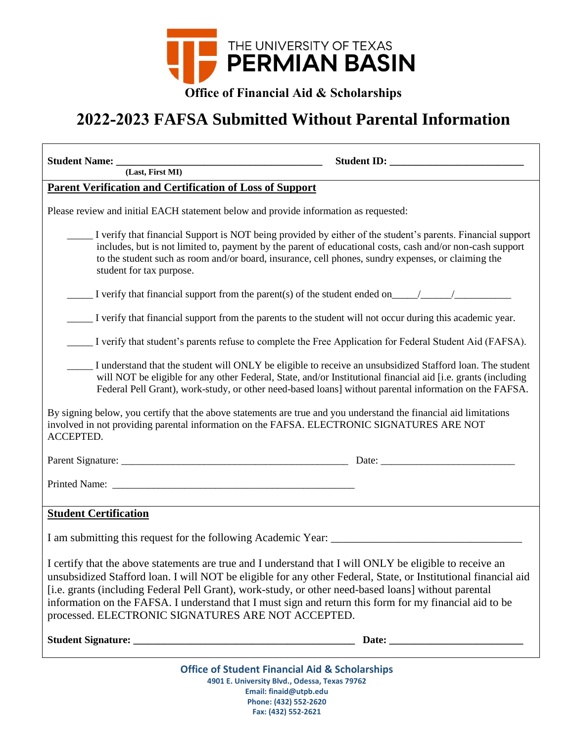

**Office of Financial Aid & Scholarships**

## **2022-2023 FAFSA Submitted Without Parental Information**

| Student Name: <u>(Last, First MI)</u>                                                                                                                                                                                                                                                                                                                                                                                                                                                                |
|------------------------------------------------------------------------------------------------------------------------------------------------------------------------------------------------------------------------------------------------------------------------------------------------------------------------------------------------------------------------------------------------------------------------------------------------------------------------------------------------------|
| <b>Parent Verification and Certification of Loss of Support</b>                                                                                                                                                                                                                                                                                                                                                                                                                                      |
| Please review and initial EACH statement below and provide information as requested:                                                                                                                                                                                                                                                                                                                                                                                                                 |
| I verify that financial Support is NOT being provided by either of the student's parents. Financial support<br>includes, but is not limited to, payment by the parent of educational costs, cash and/or non-cash support<br>to the student such as room and/or board, insurance, cell phones, sundry expenses, or claiming the<br>student for tax purpose.                                                                                                                                           |
| $\frac{1}{\sqrt{1-\frac{1}{2}}\sqrt{1-\frac{1}{2}}\sqrt{1-\frac{1}{2}}\sqrt{1-\frac{1}{2}}\sqrt{1-\frac{1}{2}}\sqrt{1-\frac{1}{2}}\sqrt{1-\frac{1}{2}}\sqrt{1-\frac{1}{2}}\sqrt{1-\frac{1}{2}}\sqrt{1-\frac{1}{2}}\sqrt{1-\frac{1}{2}}\sqrt{1-\frac{1}{2}}\sqrt{1-\frac{1}{2}}\sqrt{1-\frac{1}{2}}\sqrt{1-\frac{1}{2}}\sqrt{1-\frac{1}{2}}\sqrt{1-\frac{1}{2}}\sqrt{1-\frac{1}{2}}\sqrt{1-\frac{1}{2}}\sqrt{1-\frac$                                                                                 |
| I verify that financial support from the parents to the student will not occur during this academic year.                                                                                                                                                                                                                                                                                                                                                                                            |
| I verify that student's parents refuse to complete the Free Application for Federal Student Aid (FAFSA).                                                                                                                                                                                                                                                                                                                                                                                             |
| I understand that the student will ONLY be eligible to receive an unsubsidized Stafford loan. The student<br>will NOT be eligible for any other Federal, State, and/or Institutional financial aid [i.e. grants (including<br>Federal Pell Grant), work-study, or other need-based loans] without parental information on the FAFSA.                                                                                                                                                                 |
| By signing below, you certify that the above statements are true and you understand the financial aid limitations<br>involved in not providing parental information on the FAFSA. ELECTRONIC SIGNATURES ARE NOT<br>ACCEPTED.                                                                                                                                                                                                                                                                         |
|                                                                                                                                                                                                                                                                                                                                                                                                                                                                                                      |
|                                                                                                                                                                                                                                                                                                                                                                                                                                                                                                      |
| <b>Student Certification</b>                                                                                                                                                                                                                                                                                                                                                                                                                                                                         |
|                                                                                                                                                                                                                                                                                                                                                                                                                                                                                                      |
| I certify that the above statements are true and I understand that I will ONLY be eligible to receive an<br>unsubsidized Stafford loan. I will NOT be eligible for any other Federal, State, or Institutional financial aid<br>[i.e. grants (including Federal Pell Grant), work-study, or other need-based loans] without parental<br>information on the FAFSA. I understand that I must sign and return this form for my financial aid to be<br>processed. ELECTRONIC SIGNATURES ARE NOT ACCEPTED. |
|                                                                                                                                                                                                                                                                                                                                                                                                                                                                                                      |
| <b>Office of Student Financial Aid &amp; Scholarships</b>                                                                                                                                                                                                                                                                                                                                                                                                                                            |

**4901 E. University Blvd., Odessa, Texas 79762 Email: finaid@utpb.edu Phone: (432) 552-2620 Fax: (432) 552-2621**